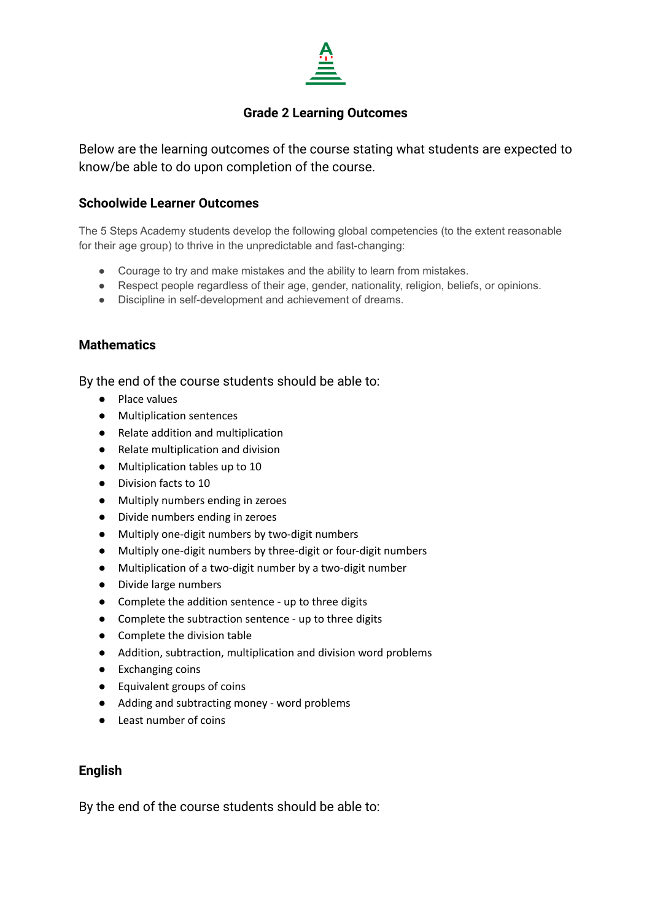

# **Grade 2 Learning Outcomes**

Below are the learning outcomes of the course stating what students are expected to know/be able to do upon completion of the course.

### **Schoolwide Learner Outcomes**

The 5 Steps Academy students develop the following global competencies (to the extent reasonable for their age group) to thrive in the unpredictable and fast-changing:

- Courage to try and make mistakes and the ability to learn from mistakes.
- Respect people regardless of their age, gender, nationality, religion, beliefs, or opinions.
- Discipline in self-development and achievement of dreams.

## **Mathematics**

By the end of the course students should be able to:

- Place values
- Multiplication sentences
- Relate addition and multiplication
- Relate multiplication and division
- Multiplication tables up to 10
- Division facts to 10
- Multiply numbers ending in zeroes
- Divide numbers ending in zeroes
- Multiply one-digit numbers by two-digit numbers
- Multiply one-digit numbers by three-digit or four-digit numbers
- Multiplication of a two-digit number by a two-digit number
- Divide large numbers
- Complete the addition sentence up to three digits
- Complete the subtraction sentence up to three digits
- Complete the division table
- Addition, subtraction, multiplication and division word problems
- Exchanging coins
- Equivalent groups of coins
- Adding and subtracting money word problems
- Least number of coins

### **English**

By the end of the course students should be able to: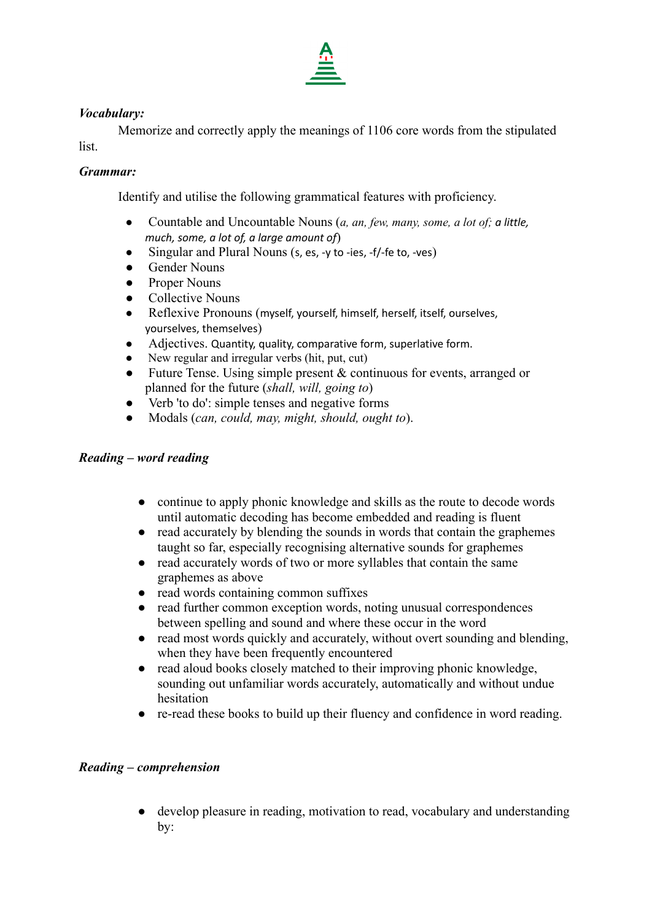

### *Vocabulary:*

Memorize and correctly apply the meanings of 1106 core words from the stipulated list.

#### *Grammar:*

Identify and utilise the following grammatical features with proficiency.

- Countable and Uncountable Nouns (*a, an, few, many, some, a lot of; a little, much, some, a lot of, a large amount of*)
- Singular and Plural Nouns (s, es, -y to -ies, -f/-fe to, -ves)
- Gender Nouns
- Proper Nouns
- **Collective Nouns**
- Reflexive Pronouns (myself, yourself, himself, herself, itself, ourselves, yourselves, themselves)
- Adjectives. Quantity, quality, comparative form, superlative form.
- New regular and irregular verbs (hit, put, cut)
- Future Tense. Using simple present & continuous for events, arranged or planned for the future (*shall, will, going to*)
- Verb 'to do': simple tenses and negative forms
- Modals (*can, could, may, might, should, ought to*).

#### *Reading – word reading*

- continue to apply phonic knowledge and skills as the route to decode words until automatic decoding has become embedded and reading is fluent
- read accurately by blending the sounds in words that contain the graphemes taught so far, especially recognising alternative sounds for graphemes
- read accurately words of two or more syllables that contain the same graphemes as above
- read words containing common suffixes
- read further common exception words, noting unusual correspondences between spelling and sound and where these occur in the word
- read most words quickly and accurately, without overt sounding and blending, when they have been frequently encountered
- read aloud books closely matched to their improving phonic knowledge, sounding out unfamiliar words accurately, automatically and without undue hesitation
- re-read these books to build up their fluency and confidence in word reading.

### *Reading – comprehension*

● develop pleasure in reading, motivation to read, vocabulary and understanding by: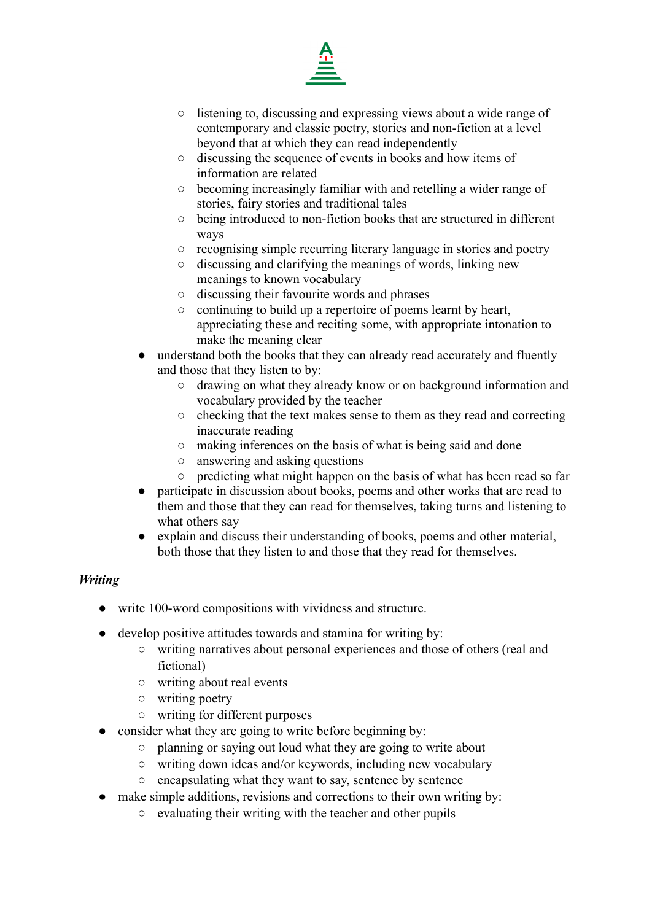

- listening to, discussing and expressing views about a wide range of contemporary and classic poetry, stories and non-fiction at a level beyond that at which they can read independently
- discussing the sequence of events in books and how items of information are related
- becoming increasingly familiar with and retelling a wider range of stories, fairy stories and traditional tales
- being introduced to non-fiction books that are structured in different ways
- recognising simple recurring literary language in stories and poetry
- discussing and clarifying the meanings of words, linking new meanings to known vocabulary
- discussing their favourite words and phrases
- continuing to build up a repertoire of poems learnt by heart, appreciating these and reciting some, with appropriate intonation to make the meaning clear
- understand both the books that they can already read accurately and fluently and those that they listen to by:
	- drawing on what they already know or on background information and vocabulary provided by the teacher
	- checking that the text makes sense to them as they read and correcting inaccurate reading
	- making inferences on the basis of what is being said and done
	- answering and asking questions
	- predicting what might happen on the basis of what has been read so far
- participate in discussion about books, poems and other works that are read to them and those that they can read for themselves, taking turns and listening to what others say
- explain and discuss their understanding of books, poems and other material, both those that they listen to and those that they read for themselves.

## *Writing*

- write 100-word compositions with vividness and structure.
- develop positive attitudes towards and stamina for writing by:
	- writing narratives about personal experiences and those of others (real and fictional)
	- writing about real events
	- writing poetry
	- writing for different purposes
- consider what they are going to write before beginning by:
	- planning or saying out loud what they are going to write about
	- writing down ideas and/or keywords, including new vocabulary
	- encapsulating what they want to say, sentence by sentence
- make simple additions, revisions and corrections to their own writing by:
	- evaluating their writing with the teacher and other pupils